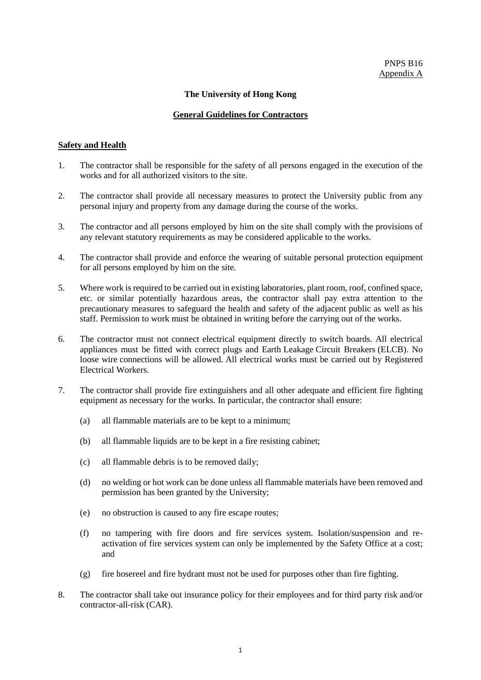## **The University of Hong Kong**

## **General Guidelines for Contractors**

## **Safety and Health**

- 1. The contractor shall be responsible for the safety of all persons engaged in the execution of the works and for all authorized visitors to the site.
- 2. The contractor shall provide all necessary measures to protect the University public from any personal injury and property from any damage during the course of the works.
- 3. The contractor and all persons employed by him on the site shall comply with the provisions of any relevant statutory requirements as may be considered applicable to the works.
- 4. The contractor shall provide and enforce the wearing of suitable personal protection equipment for all persons employed by him on the site.
- 5. Where work is required to be carried out in existing laboratories, plant room, roof, confined space, etc. or similar potentially hazardous areas, the contractor shall pay extra attention to the precautionary measures to safeguard the health and safety of the adjacent public as well as his staff. Permission to work must be obtained in writing before the carrying out of the works.
- 6. The contractor must not connect electrical equipment directly to switch boards. All electrical appliances must be fitted with correct plugs and Earth Leakage Circuit Breakers (ELCB). No loose wire connections will be allowed. All electrical works must be carried out by Registered Electrical Workers.
- 7. The contractor shall provide fire extinguishers and all other adequate and efficient fire fighting equipment as necessary for the works. In particular, the contractor shall ensure:
	- (a) all flammable materials are to be kept to a minimum;
	- (b) all flammable liquids are to be kept in a fire resisting cabinet;
	- (c) all flammable debris is to be removed daily;
	- (d) no welding or hot work can be done unless all flammable materials have been removed and permission has been granted by the University;
	- (e) no obstruction is caused to any fire escape routes;
	- (f) no tampering with fire doors and fire services system. Isolation/suspension and reactivation of fire services system can only be implemented by the Safety Office at a cost; and
	- (g) fire hosereel and fire hydrant must not be used for purposes other than fire fighting.
- 8. The contractor shall take out insurance policy for their employees and for third party risk and/or contractor-all-risk (CAR).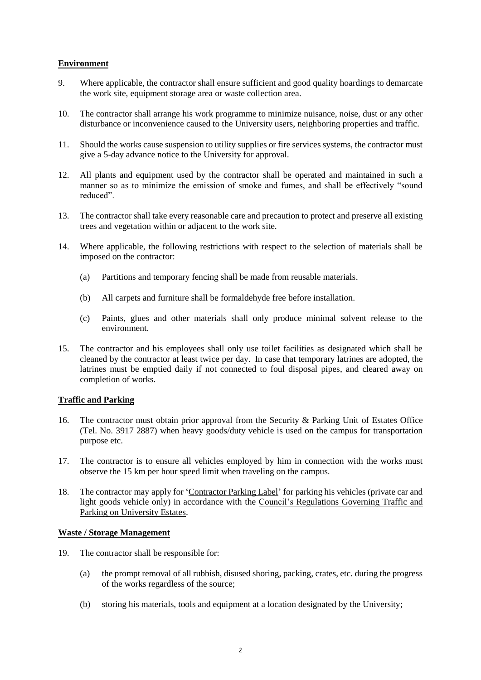# **Environment**

- 9. Where applicable, the contractor shall ensure sufficient and good quality hoardings to demarcate the work site, equipment storage area or waste collection area.
- 10. The contractor shall arrange his work programme to minimize nuisance, noise, dust or any other disturbance or inconvenience caused to the University users, neighboring properties and traffic.
- 11. Should the works cause suspension to utility supplies or fire services systems, the contractor must give a 5-day advance notice to the University for approval.
- 12. All plants and equipment used by the contractor shall be operated and maintained in such a manner so as to minimize the emission of smoke and fumes, and shall be effectively "sound reduced".
- 13. The contractor shall take every reasonable care and precaution to protect and preserve all existing trees and vegetation within or adjacent to the work site.
- 14. Where applicable, the following restrictions with respect to the selection of materials shall be imposed on the contractor:
	- (a) Partitions and temporary fencing shall be made from reusable materials.
	- (b) All carpets and furniture shall be formaldehyde free before installation.
	- (c) Paints, glues and other materials shall only produce minimal solvent release to the environment.
- 15. The contractor and his employees shall only use toilet facilities as designated which shall be cleaned by the contractor at least twice per day. In case that temporary latrines are adopted, the latrines must be emptied daily if not connected to foul disposal pipes, and cleared away on completion of works.

## **Traffic and Parking**

- 16. The contractor must obtain prior approval from the Security & Parking Unit of Estates Office (Tel. No. 3917 2887) when heavy goods/duty vehicle is used on the campus for transportation purpose etc.
- 17. The contractor is to ensure all vehicles employed by him in connection with the works must observe the 15 km per hour speed limit when traveling on the campus.
- 18. The contractor may apply for 'Contractor Parking Label' for parking his vehicles (private car and light goods vehicle only) in accordance with the Council's Regulations Governing Traffic and Parking on University Estates.

#### **Waste / Storage Management**

- 19. The contractor shall be responsible for:
	- (a) the prompt removal of all rubbish, disused shoring, packing, crates, etc. during the progress of the works regardless of the source;
	- (b) storing his materials, tools and equipment at a location designated by the University;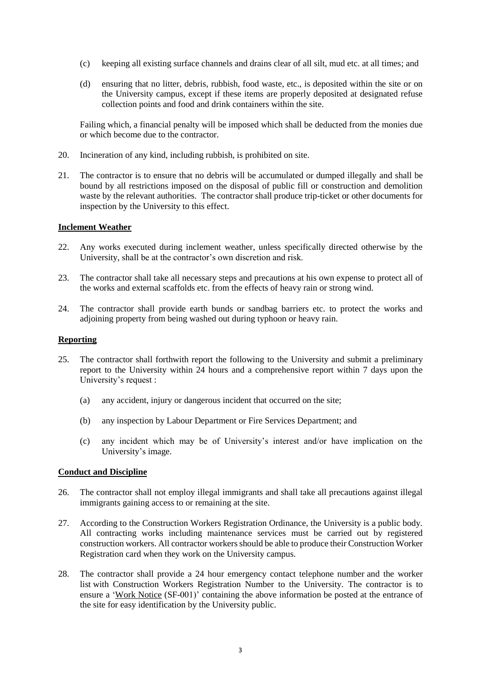- (c) keeping all existing surface channels and drains clear of all silt, mud etc. at all times; and
- (d) ensuring that no litter, debris, rubbish, food waste, etc., is deposited within the site or on the University campus, except if these items are properly deposited at designated refuse collection points and food and drink containers within the site.

Failing which, a financial penalty will be imposed which shall be deducted from the monies due or which become due to the contractor.

- 20. Incineration of any kind, including rubbish, is prohibited on site.
- 21. The contractor is to ensure that no debris will be accumulated or dumped illegally and shall be bound by all restrictions imposed on the disposal of public fill or construction and demolition waste by the relevant authorities. The contractor shall produce trip-ticket or other documents for inspection by the University to this effect.

## **Inclement Weather**

- 22. Any works executed during inclement weather, unless specifically directed otherwise by the University, shall be at the contractor's own discretion and risk.
- 23. The contractor shall take all necessary steps and precautions at his own expense to protect all of the works and external scaffolds etc. from the effects of heavy rain or strong wind.
- 24. The contractor shall provide earth bunds or sandbag barriers etc. to protect the works and adjoining property from being washed out during typhoon or heavy rain.

#### **Reporting**

- 25. The contractor shall forthwith report the following to the University and submit a preliminary report to the University within 24 hours and a comprehensive report within 7 days upon the University's request :
	- (a) any accident, injury or dangerous incident that occurred on the site;
	- (b) any inspection by Labour Department or Fire Services Department; and
	- (c) any incident which may be of University's interest and/or have implication on the University's image.

### **Conduct and Discipline**

- 26. The contractor shall not employ illegal immigrants and shall take all precautions against illegal immigrants gaining access to or remaining at the site.
- 27. According to the Construction Workers Registration Ordinance, the University is a public body. All contracting works including maintenance services must be carried out by registered construction workers. All contractor workers should be able to produce their Construction Worker Registration card when they work on the University campus.
- 28. The contractor shall provide a 24 hour emergency contact telephone number and the worker list with Construction Workers Registration Number to the University. The contractor is to ensure a 'Work Notice (SF-001)' containing the above information be posted at the entrance of the site for easy identification by the University public.